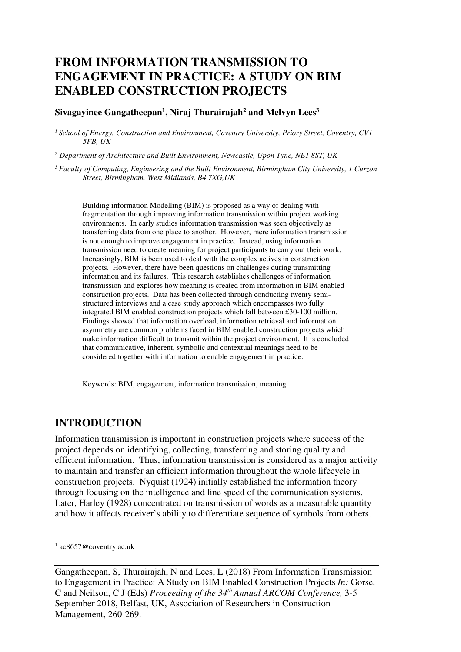# **FROM INFORMATION TRANSMISSION TO ENGAGEMENT IN PRACTICE: A STUDY ON BIM ENABLED CONSTRUCTION PROJECTS**

### **Sivagayinee Gangatheepan<sup>1</sup> , Niraj Thurairajah<sup>2</sup> and Melvyn Lees<sup>3</sup>**

*<sup>1</sup>School of Energy, Construction and Environment, Coventry University, Priory Street, Coventry, CV1 5FB, UK* 

*2 Department of Architecture and Built Environment, Newcastle, Upon Tyne, NE1 8ST, UK* 

*<sup>3</sup>Faculty of Computing, Engineering and the Built Environment, Birmingham City University, 1 Curzon Street, Birmingham, West Midlands, B4 7XG,UK* 

Building information Modelling (BIM) is proposed as a way of dealing with fragmentation through improving information transmission within project working environments. In early studies information transmission was seen objectively as transferring data from one place to another. However, mere information transmission is not enough to improve engagement in practice. Instead, using information transmission need to create meaning for project participants to carry out their work. Increasingly, BIM is been used to deal with the complex actives in construction projects. However, there have been questions on challenges during transmitting information and its failures. This research establishes challenges of information transmission and explores how meaning is created from information in BIM enabled construction projects. Data has been collected through conducting twenty semistructured interviews and a case study approach which encompasses two fully integrated BIM enabled construction projects which fall between £30-100 million. Findings showed that information overload, information retrieval and information asymmetry are common problems faced in BIM enabled construction projects which make information difficult to transmit within the project environment. It is concluded that communicative, inherent, symbolic and contextual meanings need to be considered together with information to enable engagement in practice.

Keywords: BIM, engagement, information transmission, meaning

## **INTRODUCTION**

Information transmission is important in construction projects where success of the project depends on identifying, collecting, transferring and storing quality and efficient information. Thus, information transmission is considered as a major activity to maintain and transfer an efficient information throughout the whole lifecycle in construction projects. Nyquist (1924) initially established the information theory through focusing on the intelligence and line speed of the communication systems. Later, Harley (1928) concentrated on transmission of words as a measurable quantity and how it affects receiver's ability to differentiate sequence of symbols from others.

 $\overline{a}$ 

<sup>1</sup> ac8657@coventry.ac.uk

Gangatheepan, S, Thurairajah, N and Lees, L (2018) From Information Transmission to Engagement in Practice: A Study on BIM Enabled Construction Projects *In:* Gorse, C and Neilson, C J (Eds) *Proceeding of the 34th Annual ARCOM Conference,* 3-5 September 2018, Belfast, UK, Association of Researchers in Construction Management, 260-269.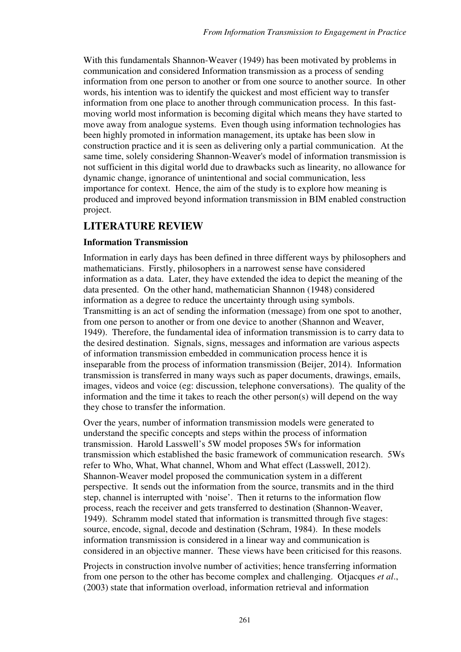With this fundamentals Shannon-Weaver (1949) has been motivated by problems in communication and considered Information transmission as a process of sending information from one person to another or from one source to another source. In other words, his intention was to identify the quickest and most efficient way to transfer information from one place to another through communication process. In this fastmoving world most information is becoming digital which means they have started to move away from analogue systems. Even though using information technologies has been highly promoted in information management, its uptake has been slow in construction practice and it is seen as delivering only a partial communication. At the same time, solely considering Shannon-Weaver's model of information transmission is not sufficient in this digital world due to drawbacks such as linearity, no allowance for dynamic change, ignorance of unintentional and social communication, less importance for context. Hence, the aim of the study is to explore how meaning is produced and improved beyond information transmission in BIM enabled construction project.

# **LITERATURE REVIEW**

## **Information Transmission**

Information in early days has been defined in three different ways by philosophers and mathematicians. Firstly, philosophers in a narrowest sense have considered information as a data. Later, they have extended the idea to depict the meaning of the data presented. On the other hand, mathematician Shannon (1948) considered information as a degree to reduce the uncertainty through using symbols. Transmitting is an act of sending the information (message) from one spot to another, from one person to another or from one device to another (Shannon and Weaver, 1949). Therefore, the fundamental idea of information transmission is to carry data to the desired destination. Signals, signs, messages and information are various aspects of information transmission embedded in communication process hence it is inseparable from the process of information transmission (Beijer, 2014). Information transmission is transferred in many ways such as paper documents, drawings, emails, images, videos and voice (eg: discussion, telephone conversations). The quality of the information and the time it takes to reach the other person(s) will depend on the way they chose to transfer the information.

Over the years, number of information transmission models were generated to understand the specific concepts and steps within the process of information transmission. Harold Lasswell's 5W model proposes 5Ws for information transmission which established the basic framework of communication research. 5Ws refer to Who, What, What channel, Whom and What effect (Lasswell, 2012). Shannon-Weaver model proposed the communication system in a different perspective. It sends out the information from the source, transmits and in the third step, channel is interrupted with 'noise'. Then it returns to the information flow process, reach the receiver and gets transferred to destination (Shannon-Weaver, 1949). Schramm model stated that information is transmitted through five stages: source, encode, signal, decode and destination (Schram, 1984). In these models information transmission is considered in a linear way and communication is considered in an objective manner. These views have been criticised for this reasons.

Projects in construction involve number of activities; hence transferring information from one person to the other has become complex and challenging. Otjacques *et al*., (2003) state that information overload, information retrieval and information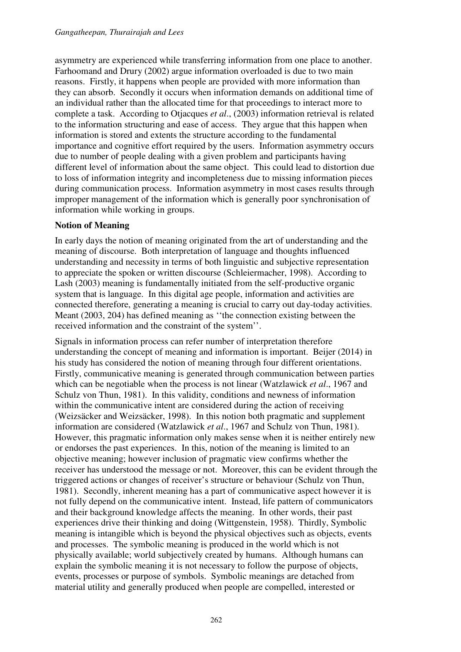asymmetry are experienced while transferring information from one place to another. Farhoomand and Drury (2002) argue information overloaded is due to two main reasons. Firstly, it happens when people are provided with more information than they can absorb. Secondly it occurs when information demands on additional time of an individual rather than the allocated time for that proceedings to interact more to complete a task. According to Otjacques *et al*., (2003) information retrieval is related to the information structuring and ease of access. They argue that this happen when information is stored and extents the structure according to the fundamental importance and cognitive effort required by the users. Information asymmetry occurs due to number of people dealing with a given problem and participants having different level of information about the same object. This could lead to distortion due to loss of information integrity and incompleteness due to missing information pieces during communication process. Information asymmetry in most cases results through improper management of the information which is generally poor synchronisation of information while working in groups.

## **Notion of Meaning**

In early days the notion of meaning originated from the art of understanding and the meaning of discourse. Both interpretation of language and thoughts influenced understanding and necessity in terms of both linguistic and subjective representation to appreciate the spoken or written discourse (Schleiermacher, 1998). According to Lash (2003) meaning is fundamentally initiated from the self-productive organic system that is language. In this digital age people, information and activities are connected therefore, generating a meaning is crucial to carry out day-today activities. Meant (2003, 204) has defined meaning as ''the connection existing between the received information and the constraint of the system''.

Signals in information process can refer number of interpretation therefore understanding the concept of meaning and information is important. Beijer (2014) in his study has considered the notion of meaning through four different orientations. Firstly, communicative meaning is generated through communication between parties which can be negotiable when the process is not linear (Watzlawick *et al*., 1967 and Schulz von Thun, 1981). In this validity, conditions and newness of information within the communicative intent are considered during the action of receiving (Weizsäcker and Weizsäcker, 1998). In this notion both pragmatic and supplement information are considered (Watzlawick *et al*., 1967 and Schulz von Thun, 1981). However, this pragmatic information only makes sense when it is neither entirely new or endorses the past experiences. In this, notion of the meaning is limited to an objective meaning; however inclusion of pragmatic view confirms whether the receiver has understood the message or not. Moreover, this can be evident through the triggered actions or changes of receiver's structure or behaviour (Schulz von Thun, 1981). Secondly, inherent meaning has a part of communicative aspect however it is not fully depend on the communicative intent. Instead, life pattern of communicators and their background knowledge affects the meaning. In other words, their past experiences drive their thinking and doing (Wittgenstein, 1958). Thirdly, Symbolic meaning is intangible which is beyond the physical objectives such as objects, events and processes. The symbolic meaning is produced in the world which is not physically available; world subjectively created by humans. Although humans can explain the symbolic meaning it is not necessary to follow the purpose of objects, events, processes or purpose of symbols. Symbolic meanings are detached from material utility and generally produced when people are compelled, interested or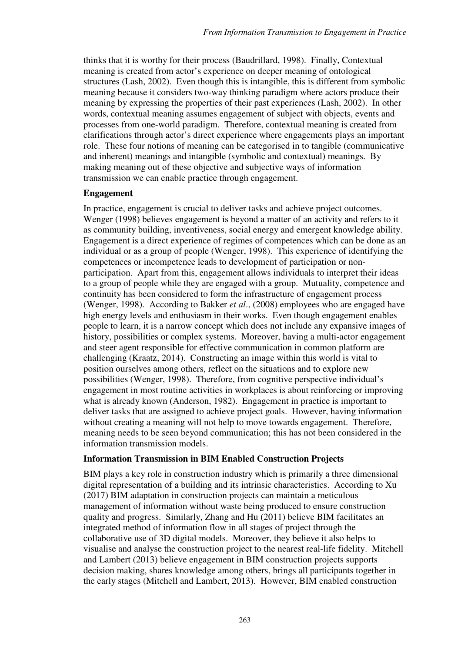thinks that it is worthy for their process (Baudrillard, 1998). Finally, Contextual meaning is created from actor's experience on deeper meaning of ontological structures (Lash, 2002). Even though this is intangible, this is different from symbolic meaning because it considers two-way thinking paradigm where actors produce their meaning by expressing the properties of their past experiences (Lash, 2002). In other words, contextual meaning assumes engagement of subject with objects, events and processes from one-world paradigm. Therefore, contextual meaning is created from clarifications through actor's direct experience where engagements plays an important role. These four notions of meaning can be categorised in to tangible (communicative and inherent) meanings and intangible (symbolic and contextual) meanings. By making meaning out of these objective and subjective ways of information transmission we can enable practice through engagement.

### **Engagement**

In practice, engagement is crucial to deliver tasks and achieve project outcomes. Wenger (1998) believes engagement is beyond a matter of an activity and refers to it as community building, inventiveness, social energy and emergent knowledge ability. Engagement is a direct experience of regimes of competences which can be done as an individual or as a group of people (Wenger, 1998). This experience of identifying the competences or incompetence leads to development of participation or nonparticipation. Apart from this, engagement allows individuals to interpret their ideas to a group of people while they are engaged with a group. Mutuality, competence and continuity has been considered to form the infrastructure of engagement process (Wenger, 1998). According to Bakker *et al*., (2008) employees who are engaged have high energy levels and enthusiasm in their works. Even though engagement enables people to learn, it is a narrow concept which does not include any expansive images of history, possibilities or complex systems. Moreover, having a multi-actor engagement and steer agent responsible for effective communication in common platform are challenging (Kraatz, 2014). Constructing an image within this world is vital to position ourselves among others, reflect on the situations and to explore new possibilities (Wenger, 1998). Therefore, from cognitive perspective individual's engagement in most routine activities in workplaces is about reinforcing or improving what is already known (Anderson, 1982). Engagement in practice is important to deliver tasks that are assigned to achieve project goals. However, having information without creating a meaning will not help to move towards engagement. Therefore, meaning needs to be seen beyond communication; this has not been considered in the information transmission models.

## **Information Transmission in BIM Enabled Construction Projects**

BIM plays a key role in construction industry which is primarily a three dimensional digital representation of a building and its intrinsic characteristics. According to Xu (2017) BIM adaptation in construction projects can maintain a meticulous management of information without waste being produced to ensure construction quality and progress. Similarly, Zhang and Hu (2011) believe BIM facilitates an integrated method of information flow in all stages of project through the collaborative use of 3D digital models. Moreover, they believe it also helps to visualise and analyse the construction project to the nearest real-life fidelity. Mitchell and Lambert (2013) believe engagement in BIM construction projects supports decision making, shares knowledge among others, brings all participants together in the early stages (Mitchell and Lambert, 2013). However, BIM enabled construction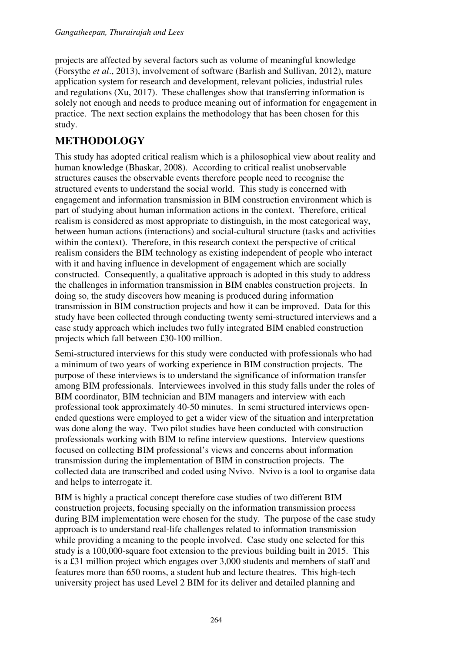projects are affected by several factors such as volume of meaningful knowledge (Forsythe *et al*., 2013), involvement of software (Barlish and Sullivan, 2012), mature application system for research and development, relevant policies, industrial rules and regulations (Xu, 2017). These challenges show that transferring information is solely not enough and needs to produce meaning out of information for engagement in practice. The next section explains the methodology that has been chosen for this study.

# **METHODOLOGY**

This study has adopted critical realism which is a philosophical view about reality and human knowledge (Bhaskar, 2008). According to critical realist unobservable structures causes the observable events therefore people need to recognise the structured events to understand the social world. This study is concerned with engagement and information transmission in BIM construction environment which is part of studying about human information actions in the context. Therefore, critical realism is considered as most appropriate to distinguish, in the most categorical way, between human actions (interactions) and social-cultural structure (tasks and activities within the context). Therefore, in this research context the perspective of critical realism considers the BIM technology as existing independent of people who interact with it and having influence in development of engagement which are socially constructed. Consequently, a qualitative approach is adopted in this study to address the challenges in information transmission in BIM enables construction projects. In doing so, the study discovers how meaning is produced during information transmission in BIM construction projects and how it can be improved. Data for this study have been collected through conducting twenty semi-structured interviews and a case study approach which includes two fully integrated BIM enabled construction projects which fall between £30-100 million.

Semi-structured interviews for this study were conducted with professionals who had a minimum of two years of working experience in BIM construction projects. The purpose of these interviews is to understand the significance of information transfer among BIM professionals. Interviewees involved in this study falls under the roles of BIM coordinator, BIM technician and BIM managers and interview with each professional took approximately 40-50 minutes. In semi structured interviews openended questions were employed to get a wider view of the situation and interpretation was done along the way. Two pilot studies have been conducted with construction professionals working with BIM to refine interview questions. Interview questions focused on collecting BIM professional's views and concerns about information transmission during the implementation of BIM in construction projects. The collected data are transcribed and coded using Nvivo. Nvivo is a tool to organise data and helps to interrogate it.

BIM is highly a practical concept therefore case studies of two different BIM construction projects, focusing specially on the information transmission process during BIM implementation were chosen for the study. The purpose of the case study approach is to understand real-life challenges related to information transmission while providing a meaning to the people involved. Case study one selected for this study is a 100,000-square foot extension to the previous building built in 2015. This is a £31 million project which engages over 3,000 students and members of staff and features more than 650 rooms, a student hub and lecture theatres. This high-tech university project has used Level 2 BIM for its deliver and detailed planning and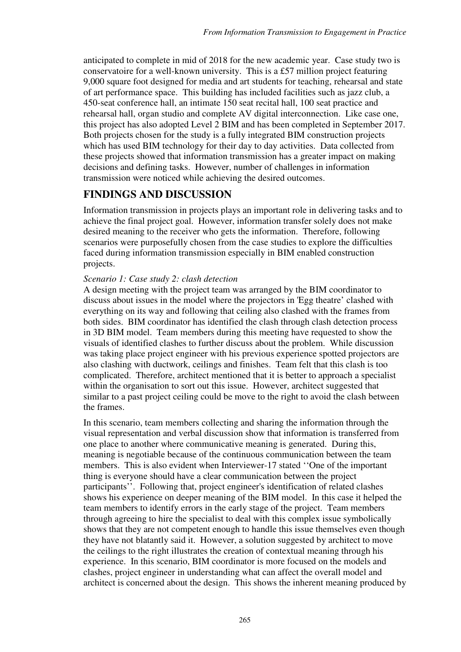anticipated to complete in mid of 2018 for the new academic year. Case study two is conservatoire for a well-known university. This is a £57 million project featuring 9,000 square foot designed for media and art students for teaching, rehearsal and state of art performance space. This building has included facilities such as jazz club, a 450-seat conference hall, an intimate 150 seat recital hall, 100 seat practice and rehearsal hall, organ studio and complete AV digital interconnection. Like case one, this project has also adopted Level 2 BIM and has been completed in September 2017. Both projects chosen for the study is a fully integrated BIM construction projects which has used BIM technology for their day to day activities. Data collected from these projects showed that information transmission has a greater impact on making decisions and defining tasks. However, number of challenges in information transmission were noticed while achieving the desired outcomes.

# **FINDINGS AND DISCUSSION**

Information transmission in projects plays an important role in delivering tasks and to achieve the final project goal. However, information transfer solely does not make desired meaning to the receiver who gets the information. Therefore, following scenarios were purposefully chosen from the case studies to explore the difficulties faced during information transmission especially in BIM enabled construction projects.

## *Scenario 1: Case study 2: clash detection*

A design meeting with the project team was arranged by the BIM coordinator to discuss about issues in the model where the projectors in 'Egg theatre' clashed with everything on its way and following that ceiling also clashed with the frames from both sides. BIM coordinator has identified the clash through clash detection process in 3D BIM model. Team members during this meeting have requested to show the visuals of identified clashes to further discuss about the problem. While discussion was taking place project engineer with his previous experience spotted projectors are also clashing with ductwork, ceilings and finishes. Team felt that this clash is too complicated. Therefore, architect mentioned that it is better to approach a specialist within the organisation to sort out this issue. However, architect suggested that similar to a past project ceiling could be move to the right to avoid the clash between the frames.

In this scenario, team members collecting and sharing the information through the visual representation and verbal discussion show that information is transferred from one place to another where communicative meaning is generated. During this, meaning is negotiable because of the continuous communication between the team members. This is also evident when Interviewer-17 stated ''One of the important thing is everyone should have a clear communication between the project participants''. Following that, project engineer's identification of related clashes shows his experience on deeper meaning of the BIM model. In this case it helped the team members to identify errors in the early stage of the project. Team members through agreeing to hire the specialist to deal with this complex issue symbolically shows that they are not competent enough to handle this issue themselves even though they have not blatantly said it. However, a solution suggested by architect to move the ceilings to the right illustrates the creation of contextual meaning through his experience. In this scenario, BIM coordinator is more focused on the models and clashes, project engineer in understanding what can affect the overall model and architect is concerned about the design. This shows the inherent meaning produced by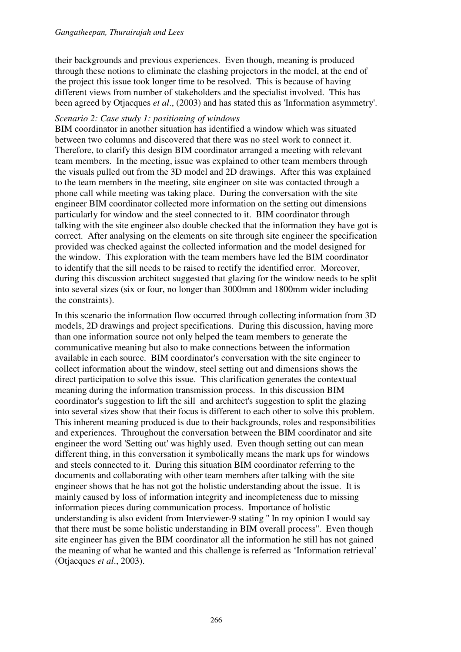their backgrounds and previous experiences. Even though, meaning is produced through these notions to eliminate the clashing projectors in the model, at the end of the project this issue took longer time to be resolved. This is because of having different views from number of stakeholders and the specialist involved. This has been agreed by Otjacques *et al*., (2003) and has stated this as 'Information asymmetry'.

#### *Scenario 2: Case study 1: positioning of windows*

BIM coordinator in another situation has identified a window which was situated between two columns and discovered that there was no steel work to connect it. Therefore, to clarify this design BIM coordinator arranged a meeting with relevant team members. In the meeting, issue was explained to other team members through the visuals pulled out from the 3D model and 2D drawings. After this was explained to the team members in the meeting, site engineer on site was contacted through a phone call while meeting was taking place. During the conversation with the site engineer BIM coordinator collected more information on the setting out dimensions particularly for window and the steel connected to it. BIM coordinator through talking with the site engineer also double checked that the information they have got is correct. After analysing on the elements on site through site engineer the specification provided was checked against the collected information and the model designed for the window. This exploration with the team members have led the BIM coordinator to identify that the sill needs to be raised to rectify the identified error. Moreover, during this discussion architect suggested that glazing for the window needs to be split into several sizes (six or four, no longer than 3000mm and 1800mm wider including the constraints).

In this scenario the information flow occurred through collecting information from 3D models, 2D drawings and project specifications. During this discussion, having more than one information source not only helped the team members to generate the communicative meaning but also to make connections between the information available in each source. BIM coordinator's conversation with the site engineer to collect information about the window, steel setting out and dimensions shows the direct participation to solve this issue. This clarification generates the contextual meaning during the information transmission process. In this discussion BIM coordinator's suggestion to lift the sill and architect's suggestion to split the glazing into several sizes show that their focus is different to each other to solve this problem. This inherent meaning produced is due to their backgrounds, roles and responsibilities and experiences. Throughout the conversation between the BIM coordinator and site engineer the word 'Setting out' was highly used. Even though setting out can mean different thing, in this conversation it symbolically means the mark ups for windows and steels connected to it. During this situation BIM coordinator referring to the documents and collaborating with other team members after talking with the site engineer shows that he has not got the holistic understanding about the issue. It is mainly caused by loss of information integrity and incompleteness due to missing information pieces during communication process. Importance of holistic understanding is also evident from Interviewer-9 stating '' In my opinion I would say that there must be some holistic understanding in BIM overall process''. Even though site engineer has given the BIM coordinator all the information he still has not gained the meaning of what he wanted and this challenge is referred as 'Information retrieval' (Otjacques *et al*., 2003).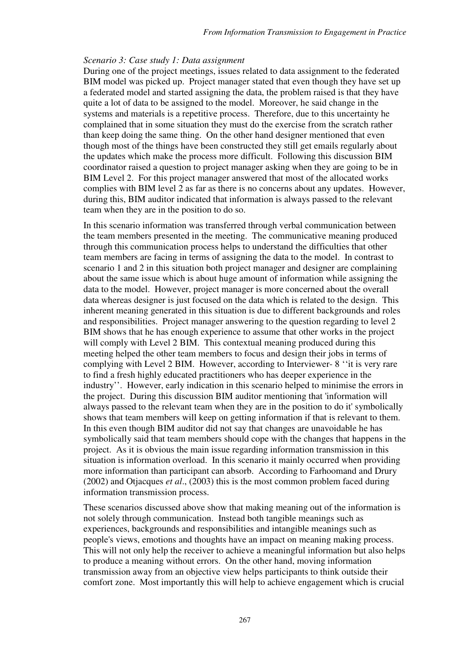#### *Scenario 3: Case study 1: Data assignment*

During one of the project meetings, issues related to data assignment to the federated BIM model was picked up. Project manager stated that even though they have set up a federated model and started assigning the data, the problem raised is that they have quite a lot of data to be assigned to the model. Moreover, he said change in the systems and materials is a repetitive process. Therefore, due to this uncertainty he complained that in some situation they must do the exercise from the scratch rather than keep doing the same thing. On the other hand designer mentioned that even though most of the things have been constructed they still get emails regularly about the updates which make the process more difficult. Following this discussion BIM coordinator raised a question to project manager asking when they are going to be in BIM Level 2. For this project manager answered that most of the allocated works complies with BIM level 2 as far as there is no concerns about any updates. However, during this, BIM auditor indicated that information is always passed to the relevant team when they are in the position to do so.

In this scenario information was transferred through verbal communication between the team members presented in the meeting. The communicative meaning produced through this communication process helps to understand the difficulties that other team members are facing in terms of assigning the data to the model. In contrast to scenario 1 and 2 in this situation both project manager and designer are complaining about the same issue which is about huge amount of information while assigning the data to the model. However, project manager is more concerned about the overall data whereas designer is just focused on the data which is related to the design. This inherent meaning generated in this situation is due to different backgrounds and roles and responsibilities. Project manager answering to the question regarding to level 2 BIM shows that he has enough experience to assume that other works in the project will comply with Level 2 BIM. This contextual meaning produced during this meeting helped the other team members to focus and design their jobs in terms of complying with Level 2 BIM. However, according to Interviewer- 8 ''it is very rare to find a fresh highly educated practitioners who has deeper experience in the industry''. However, early indication in this scenario helped to minimise the errors in the project. During this discussion BIM auditor mentioning that 'information will always passed to the relevant team when they are in the position to do it' symbolically shows that team members will keep on getting information if that is relevant to them. In this even though BIM auditor did not say that changes are unavoidable he has symbolically said that team members should cope with the changes that happens in the project. As it is obvious the main issue regarding information transmission in this situation is information overload. In this scenario it mainly occurred when providing more information than participant can absorb. According to Farhoomand and Drury (2002) and Otjacques *et al*., (2003) this is the most common problem faced during information transmission process.

These scenarios discussed above show that making meaning out of the information is not solely through communication. Instead both tangible meanings such as experiences, backgrounds and responsibilities and intangible meanings such as people's views, emotions and thoughts have an impact on meaning making process. This will not only help the receiver to achieve a meaningful information but also helps to produce a meaning without errors. On the other hand, moving information transmission away from an objective view helps participants to think outside their comfort zone. Most importantly this will help to achieve engagement which is crucial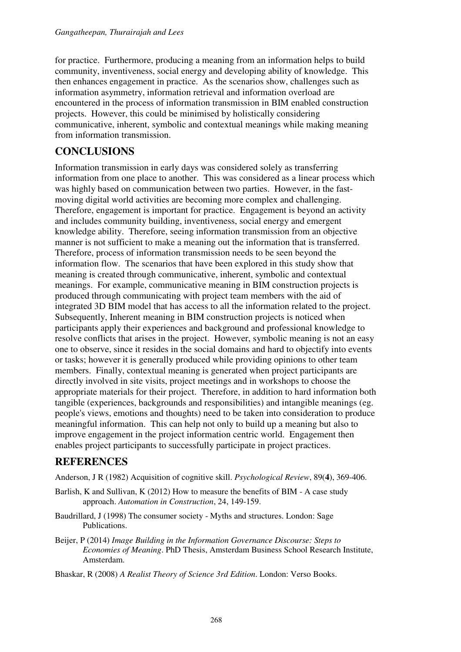for practice. Furthermore, producing a meaning from an information helps to build community, inventiveness, social energy and developing ability of knowledge. This then enhances engagement in practice. As the scenarios show, challenges such as information asymmetry, information retrieval and information overload are encountered in the process of information transmission in BIM enabled construction projects. However, this could be minimised by holistically considering communicative, inherent, symbolic and contextual meanings while making meaning from information transmission.

## **CONCLUSIONS**

Information transmission in early days was considered solely as transferring information from one place to another. This was considered as a linear process which was highly based on communication between two parties. However, in the fastmoving digital world activities are becoming more complex and challenging. Therefore, engagement is important for practice. Engagement is beyond an activity and includes community building, inventiveness, social energy and emergent knowledge ability. Therefore, seeing information transmission from an objective manner is not sufficient to make a meaning out the information that is transferred. Therefore, process of information transmission needs to be seen beyond the information flow. The scenarios that have been explored in this study show that meaning is created through communicative, inherent, symbolic and contextual meanings. For example, communicative meaning in BIM construction projects is produced through communicating with project team members with the aid of integrated 3D BIM model that has access to all the information related to the project. Subsequently, Inherent meaning in BIM construction projects is noticed when participants apply their experiences and background and professional knowledge to resolve conflicts that arises in the project. However, symbolic meaning is not an easy one to observe, since it resides in the social domains and hard to objectify into events or tasks; however it is generally produced while providing opinions to other team members. Finally, contextual meaning is generated when project participants are directly involved in site visits, project meetings and in workshops to choose the appropriate materials for their project. Therefore, in addition to hard information both tangible (experiences, backgrounds and responsibilities) and intangible meanings (eg. people's views, emotions and thoughts) need to be taken into consideration to produce meaningful information. This can help not only to build up a meaning but also to improve engagement in the project information centric world. Engagement then enables project participants to successfully participate in project practices.

## **REFERENCES**

Anderson, J R (1982) Acquisition of cognitive skill. *Psychological Review*, 89(**4**), 369-406.

- Barlish, K and Sullivan, K (2012) How to measure the benefits of BIM A case study approach. *Automation in Construction*, 24, 149-159.
- Baudrillard, J (1998) The consumer society Myths and structures. London: Sage Publications.
- Beijer, P (2014) *Image Building in the Information Governance Discourse: Steps to Economies of Meaning*. PhD Thesis, Amsterdam Business School Research Institute, Amsterdam.
- Bhaskar, R (2008) *A Realist Theory of Science 3rd Edition*. London: Verso Books.